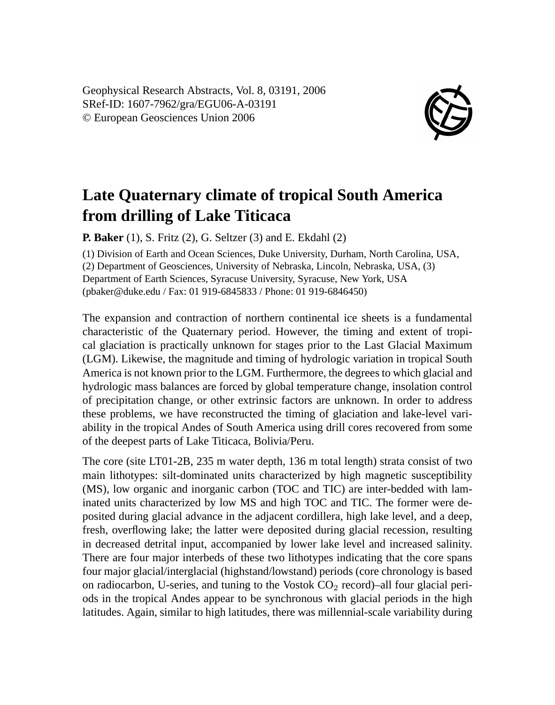Geophysical Research Abstracts, Vol. 8, 03191, 2006 SRef-ID: 1607-7962/gra/EGU06-A-03191 © European Geosciences Union 2006



## **Late Quaternary climate of tropical South America from drilling of Lake Titicaca**

**P. Baker** (1), S. Fritz (2), G. Seltzer (3) and E. Ekdahl (2)

(1) Division of Earth and Ocean Sciences, Duke University, Durham, North Carolina, USA, (2) Department of Geosciences, University of Nebraska, Lincoln, Nebraska, USA, (3) Department of Earth Sciences, Syracuse University, Syracuse, New York, USA (pbaker@duke.edu / Fax: 01 919-6845833 / Phone: 01 919-6846450)

The expansion and contraction of northern continental ice sheets is a fundamental characteristic of the Quaternary period. However, the timing and extent of tropical glaciation is practically unknown for stages prior to the Last Glacial Maximum (LGM). Likewise, the magnitude and timing of hydrologic variation in tropical South America is not known prior to the LGM. Furthermore, the degrees to which glacial and hydrologic mass balances are forced by global temperature change, insolation control of precipitation change, or other extrinsic factors are unknown. In order to address these problems, we have reconstructed the timing of glaciation and lake-level variability in the tropical Andes of South America using drill cores recovered from some of the deepest parts of Lake Titicaca, Bolivia/Peru.

The core (site LT01-2B, 235 m water depth, 136 m total length) strata consist of two main lithotypes: silt-dominated units characterized by high magnetic susceptibility (MS), low organic and inorganic carbon (TOC and TIC) are inter-bedded with laminated units characterized by low MS and high TOC and TIC. The former were deposited during glacial advance in the adjacent cordillera, high lake level, and a deep, fresh, overflowing lake; the latter were deposited during glacial recession, resulting in decreased detrital input, accompanied by lower lake level and increased salinity. There are four major interbeds of these two lithotypes indicating that the core spans four major glacial/interglacial (highstand/lowstand) periods (core chronology is based on radiocarbon, U-series, and tuning to the Vostok  $CO<sub>2</sub>$  record)–all four glacial periods in the tropical Andes appear to be synchronous with glacial periods in the high latitudes. Again, similar to high latitudes, there was millennial-scale variability during